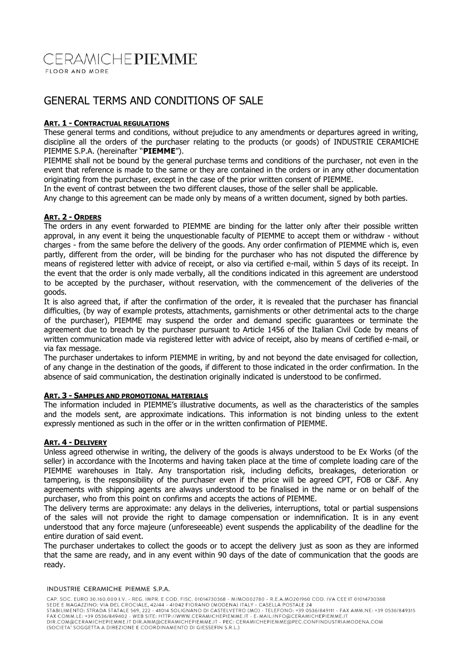## CERAMICHEPIEMME FLOOR AND MORE

# GENERAL TERMS AND CONDITIONS OF SALE

## **ART. 1 - CONTRACTUAL REGULATIONS**

These general terms and conditions, without prejudice to any amendments or departures agreed in writing, discipline all the orders of the purchaser relating to the products (or goods) of INDUSTRIE CERAMICHE PIEMME S.P.A. (hereinafter "**PIEMME**").

PIEMME shall not be bound by the general purchase terms and conditions of the purchaser, not even in the event that reference is made to the same or they are contained in the orders or in any other documentation originating from the purchaser, except in the case of the prior written consent of PIEMME.

In the event of contrast between the two different clauses, those of the seller shall be applicable.

Any change to this agreement can be made only by means of a written document, signed by both parties.

## **ART. 2 - ORDERS**

The orders in any event forwarded to PIEMME are binding for the latter only after their possible written approval, in any event it being the unquestionable faculty of PIEMME to accept them or withdraw - without charges - from the same before the delivery of the goods. Any order confirmation of PIEMME which is, even partly, different from the order, will be binding for the purchaser who has not disputed the difference by means of registered letter with advice of receipt, or also via certified e-mail, within 5 days of its receipt. In the event that the order is only made verbally, all the conditions indicated in this agreement are understood to be accepted by the purchaser, without reservation, with the commencement of the deliveries of the goods.

It is also agreed that, if after the confirmation of the order, it is revealed that the purchaser has financial difficulties, (by way of example protests, attachments, garnishments or other detrimental acts to the charge of the purchaser), PIEMME may suspend the order and demand specific guarantees or terminate the agreement due to breach by the purchaser pursuant to Article 1456 of the Italian Civil Code by means of written communication made via registered letter with advice of receipt, also by means of certified e-mail, or via fax message.

The purchaser undertakes to inform PIEMME in writing, by and not beyond the date envisaged for collection, of any change in the destination of the goods, if different to those indicated in the order confirmation. In the absence of said communication, the destination originally indicated is understood to be confirmed.

## **ART. 3 - SAMPLES AND PROMOTIONAL MATERIALS**

The information included in PIEMME's illustrative documents, as well as the characteristics of the samples and the models sent, are approximate indications. This information is not binding unless to the extent expressly mentioned as such in the offer or in the written confirmation of PIEMME.

## **ART. 4 - DELIVERY**

Unless agreed otherwise in writing, the delivery of the goods is always understood to be Ex Works (of the seller) in accordance with the Incoterms and having taken place at the time of complete loading care of the PIEMME warehouses in Italy. Any transportation risk, including deficits, breakages, deterioration or tampering, is the responsibility of the purchaser even if the price will be agreed CPT, FOB or C&F. Any agreements with shipping agents are always understood to be finalised in the name or on behalf of the purchaser, who from this point on confirms and accepts the actions of PIEMME.

The delivery terms are approximate: any delays in the deliveries, interruptions, total or partial suspensions of the sales will not provide the right to damage compensation or indemnification. It is in any event understood that any force majeure (unforeseeable) event suspends the applicability of the deadline for the entire duration of said event.

The purchaser undertakes to collect the goods or to accept the delivery just as soon as they are informed that the same are ready, and in any event within 90 days of the date of communication that the goods are ready.

#### INDUSTRIE CERAMICHE PIEMME S.P.A.

CAP. SOC. EURO 30.160.000 I.V. - REG. IMPR. E COD. FISC. 01014730368 - M/MO002780 - R.E.A.MO201960 COD. IVA CEE IT 01014730368 CAP. SOC. EURO 30.160.000 I.V. - REG. IMPRI. E COD. FISC. 01014730368 - M/MO002/300 - R.E.A.MO201960 COD. IVA CEE II 01014730368<br>STABILIMENTO: STRADA STATALE 569, 222 - 41014 SOLIGNANO DI CASTELVETRO (MO) - TELEFONO: +39 0 (SOCIETA' SOGGETTA A DIREZIONE E COORDINAMENTO DI GIESSEFIN S.R.L.)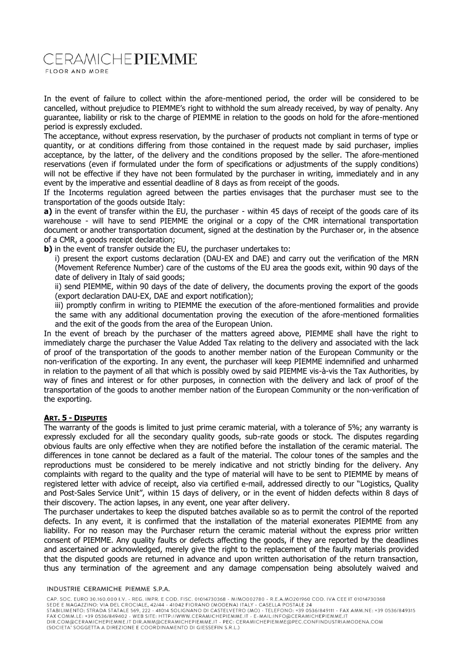# **CERAMICHEPIEMME**

FLOOR AND MORE

In the event of failure to collect within the afore-mentioned period, the order will be considered to be cancelled, without prejudice to PIEMME's right to withhold the sum already received, by way of penalty. Any guarantee, liability or risk to the charge of PIEMME in relation to the goods on hold for the afore-mentioned period is expressly excluded.

The acceptance, without express reservation, by the purchaser of products not compliant in terms of type or quantity, or at conditions differing from those contained in the request made by said purchaser, implies acceptance, by the latter, of the delivery and the conditions proposed by the seller. The afore-mentioned reservations (even if formulated under the form of specifications or adjustments of the supply conditions) will not be effective if they have not been formulated by the purchaser in writing, immediately and in any event by the imperative and essential deadline of 8 days as from receipt of the goods.

If the Incoterms regulation agreed between the parties envisages that the purchaser must see to the transportation of the goods outside Italy:

**a)** in the event of transfer within the EU, the purchaser - within 45 days of receipt of the goods care of its warehouse - will have to send PIEMME the original or a copy of the CMR international transportation document or another transportation document, signed at the destination by the Purchaser or, in the absence of a CMR, a goods receipt declaration;

**b**) in the event of transfer outside the EU, the purchaser undertakes to:

i) present the export customs declaration (DAU-EX and DAE) and carry out the verification of the MRN (Movement Reference Number) care of the customs of the EU area the goods exit, within 90 days of the date of delivery in Italy of said goods;

ii) send PIEMME, within 90 days of the date of delivery, the documents proving the export of the goods (export declaration DAU-EX, DAE and export notification);

iii) promptly confirm in writing to PIEMME the execution of the afore-mentioned formalities and provide the same with any additional documentation proving the execution of the afore-mentioned formalities and the exit of the goods from the area of the European Union.

In the event of breach by the purchaser of the matters agreed above, PIEMME shall have the right to immediately charge the purchaser the Value Added Tax relating to the delivery and associated with the lack of proof of the transportation of the goods to another member nation of the European Community or the non-verification of the exporting. In any event, the purchaser will keep PIEMME indemnified and unharmed in relation to the payment of all that which is possibly owed by said PIEMME vis-à-vis the Tax Authorities, by way of fines and interest or for other purposes, in connection with the delivery and lack of proof of the transportation of the goods to another member nation of the European Community or the non-verification of the exporting.

### **ART. 5 - DISPUTES**

The warranty of the goods is limited to just prime ceramic material, with a tolerance of 5%; any warranty is expressly excluded for all the secondary quality goods, sub-rate goods or stock. The disputes regarding obvious faults are only effective when they are notified before the installation of the ceramic material. The differences in tone cannot be declared as a fault of the material. The colour tones of the samples and the reproductions must be considered to be merely indicative and not strictly binding for the delivery. Any complaints with regard to the quality and the type of material will have to be sent to PIEMME by means of registered letter with advice of receipt, also via certified e-mail, addressed directly to our "Logistics, Quality and Post-Sales Service Unit", within 15 days of delivery, or in the event of hidden defects within 8 days of their discovery. The action lapses, in any event, one year after delivery.

The purchaser undertakes to keep the disputed batches available so as to permit the control of the reported defects. In any event, it is confirmed that the installation of the material exonerates PIEMME from any liability. For no reason may the Purchaser return the ceramic material without the express prior written consent of PIEMME. Any quality faults or defects affecting the goods, if they are reported by the deadlines and ascertained or acknowledged, merely give the right to the replacement of the faulty materials provided that the disputed goods are returned in advance and upon written authorisation of the return transaction, thus any termination of the agreement and any damage compensation being absolutely waived and

#### INDUSTRIE CERAMICHE PIEMME S.P.A.

CAP. SOC. EURO 30.160.000 I.V. - REG. IMPR. E COD. FISC. 01014730368 - M/MO002780 - R.E.A.MO201960 COD. IVA CEE IT 01014730368 CAP. SOC. EURO 30.160.000 I.V. - REG. IMPRI. E COU. FISC. 01014730368 - M/MO002/380 - R.E.A.MOSZONE 24<br>STEDE E MAGAZZINO: VIA DEL CROCIALE, 42/44 - 41042 FIORANO (MODENA) ITALY - CASELLA POSTALE 24<br>STABILIMENTO: STRADA STA (SOCIETA' SOGGETTA A DIREZIONE E COORDINAMENTO DI GIESSEFIN S.R.L.)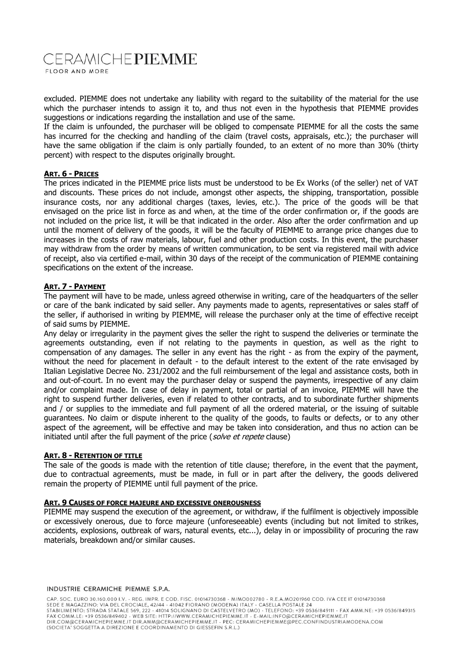# **CERAMICHEPIEMME**

FLOOR AND MORE

excluded. PIEMME does not undertake any liability with regard to the suitability of the material for the use which the purchaser intends to assign it to, and thus not even in the hypothesis that PIEMME provides suggestions or indications regarding the installation and use of the same.

If the claim is unfounded, the purchaser will be obliged to compensate PIEMME for all the costs the same has incurred for the checking and handling of the claim (travel costs, appraisals, etc.); the purchaser will have the same obligation if the claim is only partially founded, to an extent of no more than 30% (thirty percent) with respect to the disputes originally brought.

### **ART. 6 - PRICES**

The prices indicated in the PIEMME price lists must be understood to be Ex Works (of the seller) net of VAT and discounts. These prices do not include, amongst other aspects, the shipping, transportation, possible insurance costs, nor any additional charges (taxes, levies, etc.). The price of the goods will be that envisaged on the price list in force as and when, at the time of the order confirmation or, if the goods are not included on the price list, it will be that indicated in the order. Also after the order confirmation and up until the moment of delivery of the goods, it will be the faculty of PIEMME to arrange price changes due to increases in the costs of raw materials, labour, fuel and other production costs. In this event, the purchaser may withdraw from the order by means of written communication, to be sent via registered mail with advice of receipt, also via certified e-mail, within 30 days of the receipt of the communication of PIEMME containing specifications on the extent of the increase.

### **ART. 7 - PAYMENT**

The payment will have to be made, unless agreed otherwise in writing, care of the headquarters of the seller or care of the bank indicated by said seller. Any payments made to agents, representatives or sales staff of the seller, if authorised in writing by PIEMME, will release the purchaser only at the time of effective receipt of said sums by PIEMME.

Any delay or irregularity in the payment gives the seller the right to suspend the deliveries or terminate the agreements outstanding, even if not relating to the payments in question, as well as the right to compensation of any damages. The seller in any event has the right - as from the expiry of the payment, without the need for placement in default - to the default interest to the extent of the rate envisaged by Italian Legislative Decree No. 231/2002 and the full reimbursement of the legal and assistance costs, both in and out-of-court. In no event may the purchaser delay or suspend the payments, irrespective of any claim and/or complaint made. In case of delay in payment, total or partial of an invoice, PIEMME will have the right to suspend further deliveries, even if related to other contracts, and to subordinate further shipments and / or supplies to the immediate and full payment of all the ordered material, or the issuing of suitable guarantees. No claim or dispute inherent to the quality of the goods, to faults or defects, or to any other aspect of the agreement, will be effective and may be taken into consideration, and thus no action can be initiated until after the full payment of the price (solve et repete clause)

#### **ART. 8 - RETENTION OF TITLE**

The sale of the goods is made with the retention of title clause; therefore, in the event that the payment, due to contractual agreements, must be made, in full or in part after the delivery, the goods delivered remain the property of PIEMME until full payment of the price.

#### **ART. 9 CAUSES OF FORCE MAJEURE AND EXCESSIVE ONEROUSNESS**

PIEMME may suspend the execution of the agreement, or withdraw, if the fulfilment is objectively impossible or excessively onerous, due to force majeure (unforeseeable) events (including but not limited to strikes, accidents, explosions, outbreak of wars, natural events, etc...), delay in or impossibility of procuring the raw materials, breakdown and/or similar causes.

#### INDUSTRIE CERAMICHE PIEMME S.P.A.

CAP. SOC. EURO 30.160.000 I.V. - REG. IMPR. E COD. FISC. 01014730368 - M/MO002780 - R.E.A.MO201960 COD. IVA CEE IT 01014730368 CAP. SOC. EURO 30.160.000 I.V. - REG. IMPRI. E COD. FISC. 01014730368 - M/MO002/80 - R.E.A.MOSZONE 20.<br>STEDE E MAGAZZINO: VIA DEL CROCIALE, 42/44 - 41042 FIORANO (MODENA) ITALY - CASELLA MOSZONE 24<br>STABILIMENTO: STRADA STA (SOCIETA' SOGGETTA A DIREZIONE E COORDINAMENTO DI GIESSEFIN S.R.L.)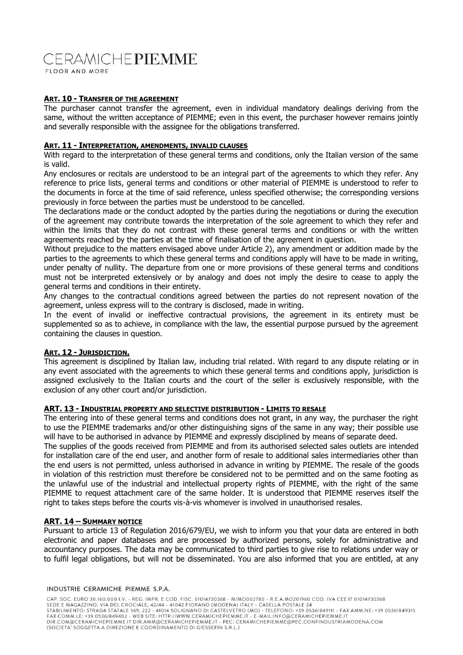# CERAMICHEPIEMME

FLOOR AND MORE

#### **ART. 10 - TRANSFER OF THE AGREEMENT**

The purchaser cannot transfer the agreement, even in individual mandatory dealings deriving from the same, without the written acceptance of PIEMME; even in this event, the purchaser however remains jointly and severally responsible with the assignee for the obligations transferred.

### **ART. 11 - INTERPRETATION, AMENDMENTS, INVALID CLAUSES**

With regard to the interpretation of these general terms and conditions, only the Italian version of the same is valid.

Any enclosures or recitals are understood to be an integral part of the agreements to which they refer. Any reference to price lists, general terms and conditions or other material of PIEMME is understood to refer to the documents in force at the time of said reference, unless specified otherwise; the corresponding versions previously in force between the parties must be understood to be cancelled.

The declarations made or the conduct adopted by the parties during the negotiations or during the execution of the agreement may contribute towards the interpretation of the sole agreement to which they refer and within the limits that they do not contrast with these general terms and conditions or with the written agreements reached by the parties at the time of finalisation of the agreement in question.

Without prejudice to the matters envisaged above under Article 2), any amendment or addition made by the parties to the agreements to which these general terms and conditions apply will have to be made in writing, under penalty of nullity. The departure from one or more provisions of these general terms and conditions must not be interpreted extensively or by analogy and does not imply the desire to cease to apply the general terms and conditions in their entirety.

Any changes to the contractual conditions agreed between the parties do not represent novation of the agreement, unless express will to the contrary is disclosed, made in writing.

In the event of invalid or ineffective contractual provisions, the agreement in its entirety must be supplemented so as to achieve, in compliance with the law, the essential purpose pursued by the agreement containing the clauses in question.

#### **ART. 12 - JURISDICTION.**

This agreement is disciplined by Italian law, including trial related. With regard to any dispute relating or in any event associated with the agreements to which these general terms and conditions apply, jurisdiction is assigned exclusively to the Italian courts and the court of the seller is exclusively responsible, with the exclusion of any other court and/or jurisdiction.

#### **ART. 13 - INDUSTRIAL PROPERTY AND SELECTIVE DISTRIBUTION - LIMITS TO RESALE**

The entering into of these general terms and conditions does not grant, in any way, the purchaser the right to use the PIEMME trademarks and/or other distinguishing signs of the same in any way; their possible use will have to be authorised in advance by PIEMME and expressly disciplined by means of separate deed.

The supplies of the goods received from PIEMME and from its authorised selected sales outlets are intended for installation care of the end user, and another form of resale to additional sales intermediaries other than the end users is not permitted, unless authorised in advance in writing by PIEMME. The resale of the goods in violation of this restriction must therefore be considered not to be permitted and on the same footing as the unlawful use of the industrial and intellectual property rights of PIEMME, with the right of the same PIEMME to request attachment care of the same holder. It is understood that PIEMME reserves itself the right to takes steps before the courts vis-à-vis whomever is involved in unauthorised resales.

#### **ART. 14 – SUMMARY NOTICE**

Pursuant to article 13 of Regulation 2016/679/EU, we wish to inform you that your data are entered in both electronic and paper databases and are processed by authorized persons, solely for administrative and accountancy purposes. The data may be communicated to third parties to give rise to relations under way or to fulfil legal obligations, but will not be disseminated. You are also informed that you are entitled, at any

#### INDUSTRIE CERAMICHE PIEMME S.P.A.

CAP. SOC. EURO 30.160.000 I.V. - REG. IMPR. E COD. FISC. 01014730368 - M/MO002780 - R.E.A.MO201960 COD. IVA CEE IT 01014730368 CAP. SOC. EURO 30.160.000 I.V. - REG. IMPR. E COD. FISC. 01014730368 - M/MO002780 - R.E.A.MO201960 COD. IVA CEE IT 01014730368<br>SEDE E MAGAZZINO: VIA DEL CROCIALE, 42/44 - 41042 FIORANO (MODENA) ITALY - CASELLA POSTALE 24<br>S (SOCIETA' SOGGETTA A DIREZIONE E COORDINAMENTO DI GIESSEFIN S.R.L.)